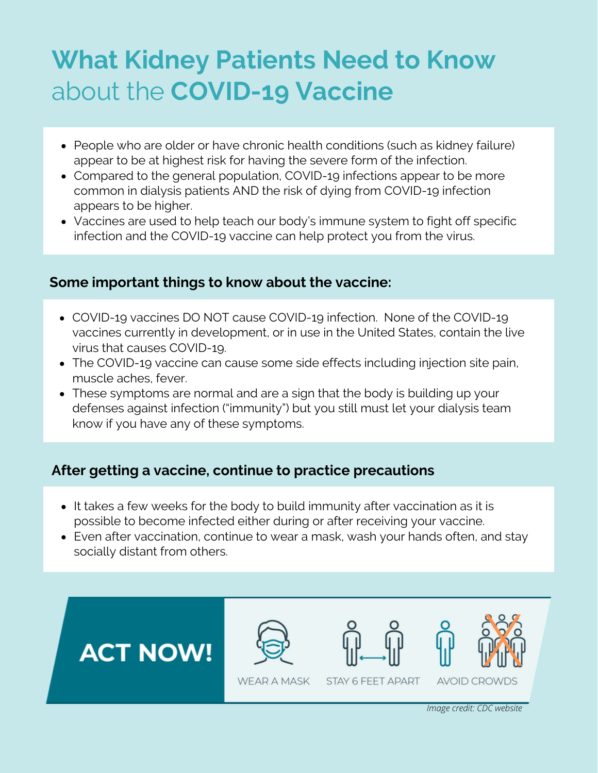# **What Kidney Patients Need to Know** about the **COVID-19 Vaccine**

- People who are older or have chronic health conditions (such as kidney failure) appear to be at highest risk for having the severe form of the infection.
- Compared to the general population, COVID-19 infections appear to be more common in dialysis patients AND the risk of dying from COVID-19 infection appears to be higher.
- Vaccines are used to help teach our body's immune system to fight off specific infection and the COVID-19 vaccine can help protect you from the virus.

### **Some important things to know about the vaccine:**

- COVID-19 vaccines DO NOT cause COVID-19 infection. None of the COVID-19 vaccines currently in development, or in use in the United States, contain the live virus that causes COVID-19.
- The COVID-19 vaccine can cause some side effects including injection site pain, muscle aches, fever.
- These symptoms are normal and are a sign that the body is building up your defenses against infection ("immunity") but you still must let your dialysis team know if you have any of these symptoms.

## **After getting a vaccine, continue to practice precautions**

- It takes a few weeks for the body to build immunity after vaccination as it is possible to become infected either during or after receiving your vaccine.
- Even after vaccination, continue to wear a mask, wash your hands often, and stay socially distant from others.